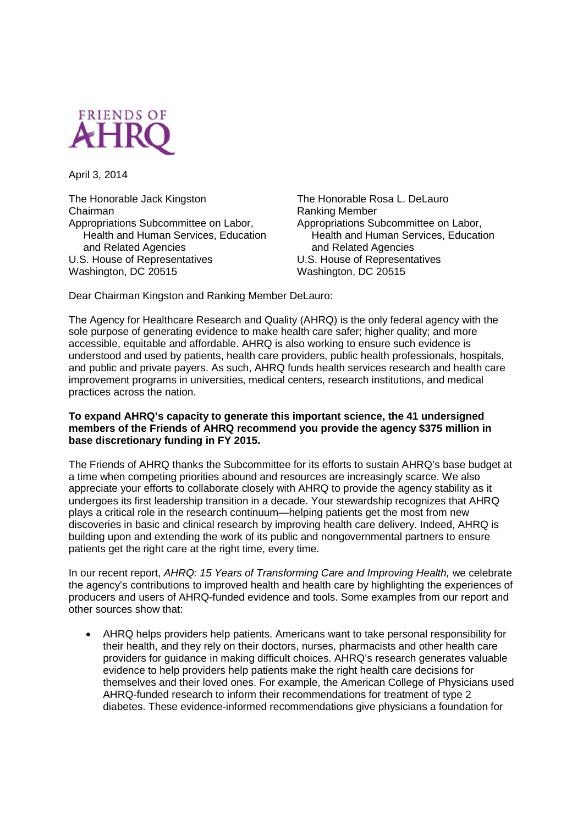

April 3, 2014

The Honorable Jack Kingston Chairman Appropriations Subcommittee on Labor, Health and Human Services, Education and Related Agencies U.S. House of Representatives Washington, DC 20515

The Honorable Rosa L. DeLauro Ranking Member Appropriations Subcommittee on Labor, Health and Human Services, Education and Related Agencies U.S. House of Representatives Washington, DC 20515

Dear Chairman Kingston and Ranking Member DeLauro:

The Agency for Healthcare Research and Quality (AHRQ) is the only federal agency with the sole purpose of generating evidence to make health care safer; higher quality; and more accessible, equitable and affordable. AHRQ is also working to ensure such evidence is understood and used by patients, health care providers, public health professionals, hospitals, and public and private payers. As such, AHRQ funds health services research and health care improvement programs in universities, medical centers, research institutions, and medical practices across the nation.

## **To expand AHRQ's capacity to generate this important science, the 41 undersigned members of the Friends of AHRQ recommend you provide the agency \$375 million in base discretionary funding in FY 2015.**

The Friends of AHRQ thanks the Subcommittee for its efforts to sustain AHRQ's base budget at a time when competing priorities abound and resources are increasingly scarce. We also appreciate your efforts to collaborate closely with AHRQ to provide the agency stability as it undergoes its first leadership transition in a decade. Your stewardship recognizes that AHRQ plays a critical role in the research continuum—helping patients get the most from new discoveries in basic and clinical research by improving health care delivery. Indeed, AHRQ is building upon and extending the work of its public and nongovernmental partners to ensure patients get the right care at the right time, every time.

In our recent report, *AHRQ: 15 Years of Transforming Care and Improving Health,* we celebrate the agency's contributions to improved health and health care by highlighting the experiences of producers and users of AHRQ-funded evidence and tools. Some examples from our report and other sources show that:

 AHRQ helps providers help patients. Americans want to take personal responsibility for their health, and they rely on their doctors, nurses, pharmacists and other health care providers for guidance in making difficult choices. AHRQ's research generates valuable evidence to help providers help patients make the right health care decisions for themselves and their loved ones. For example, the American College of Physicians used AHRQ-funded research to inform their recommendations for treatment of type 2 diabetes. These evidence-informed recommendations give physicians a foundation for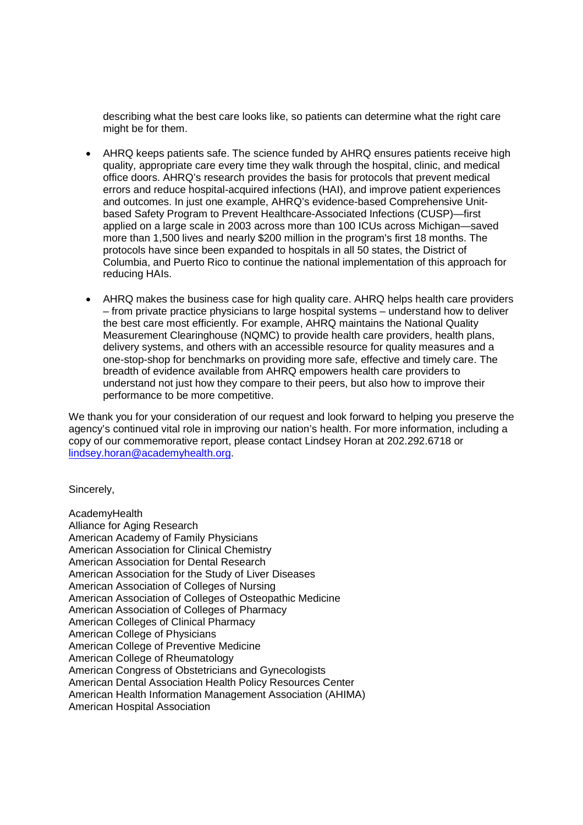describing what the best care looks like, so patients can determine what the right care might be for them.

- AHRQ keeps patients safe. The science funded by AHRQ ensures patients receive high quality, appropriate care every time they walk through the hospital, clinic, and medical office doors. AHRQ's research provides the basis for protocols that prevent medical errors and reduce hospital-acquired infections (HAI), and improve patient experiences and outcomes. In just one example, AHRQ's evidence-based Comprehensive Unitbased Safety Program to Prevent Healthcare-Associated Infections (CUSP)—first applied on a large scale in 2003 across more than 100 ICUs across Michigan—saved more than 1,500 lives and nearly \$200 million in the program's first 18 months. The protocols have since been expanded to hospitals in all 50 states, the District of Columbia, and Puerto Rico to continue the national implementation of this approach for reducing HAIs.
- AHRQ makes the business case for high quality care. AHRQ helps health care providers – from private practice physicians to large hospital systems – understand how to deliver the best care most efficiently. For example, AHRQ maintains the National Quality Measurement Clearinghouse (NQMC) to provide health care providers, health plans, delivery systems, and others with an accessible resource for quality measures and a one-stop-shop for benchmarks on providing more safe, effective and timely care. The breadth of evidence available from AHRQ empowers health care providers to understand not just how they compare to their peers, but also how to improve their performance to be more competitive.

We thank you for your consideration of our request and look forward to helping you preserve the agency's continued vital role in improving our nation's health. For more information, including a copy of our commemorative report, please contact Lindsey Horan at 202.292.6718 or lindsey.horan@academyhealth.org.

Sincerely,

AcademyHealth Alliance for Aging Research American Academy of Family Physicians American Association for Clinical Chemistry American Association for Dental Research American Association for the Study of Liver Diseases American Association of Colleges of Nursing American Association of Colleges of Osteopathic Medicine American Association of Colleges of Pharmacy American Colleges of Clinical Pharmacy American College of Physicians American College of Preventive Medicine American College of Rheumatology American Congress of Obstetricians and Gynecologists American Dental Association Health Policy Resources Center American Health Information Management Association (AHIMA) American Hospital Association